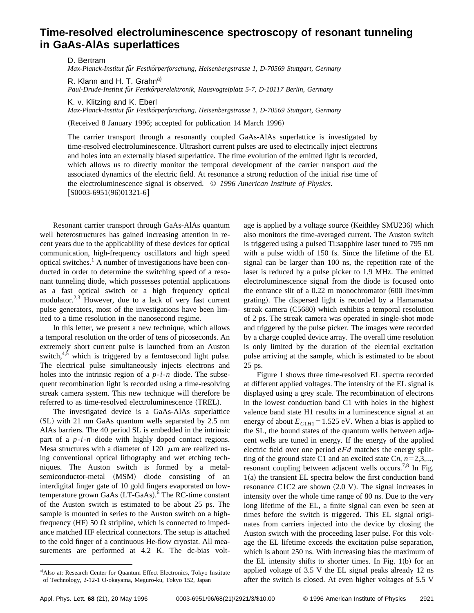## **Time-resolved electroluminescence spectroscopy of resonant tunneling in GaAs-AlAs superlattices**

D. Bertram

*Max-Planck-Institut fu¨r Festko¨rperforschung, Heisenbergstrasse 1, D-70569 Stuttgart, Germany*

R. Klann and H. T. Grahn<sup>a)</sup>

*Paul-Drude-Institut fu¨r Festko¨rperelektronik, Hausvogteiplatz 5-7, D-10117 Berlin, Germany*

K. v. Klitzing and K. Eberl *Max-Planck-Institut fu¨r Festko¨rperforschung, Heisenbergstrasse 1, D-70569 Stuttgart, Germany*

(Received 8 January 1996; accepted for publication 14 March 1996)

The carrier transport through a resonantly coupled GaAs-AlAs superlattice is investigated by time-resolved electroluminescence. Ultrashort current pulses are used to electrically inject electrons and holes into an externally biased superlattice. The time evolution of the emitted light is recorded, which allows us to directly monitor the temporal development of the carrier transport *and* the associated dynamics of the electric field. At resonance a strong reduction of the initial rise time of the electroluminescence signal is observed. © *1996 American Institute of Physics.*  $[50003-6951(96)01321-6]$ 

Resonant carrier transport through GaAs-AlAs quantum well heterostructures has gained increasing attention in recent years due to the applicability of these devices for optical communication, high-frequency oscillators and high speed optical switches.1 A number of investigations have been conducted in order to determine the switching speed of a resonant tunneling diode, which possesses potential applications as a fast optical switch or a high frequency optical modulator.<sup>2,3</sup> However, due to a lack of very fast current pulse generators, most of the investigations have been limited to a time resolution in the nanosecond regime.

In this letter, we present a new technique, which allows a temporal resolution on the order of tens of picoseconds. An extremely short current pulse is launched from an Auston switch, $4.5$  which is triggered by a femtosecond light pulse. The electrical pulse simultaneously injects electrons and holes into the intrinsic region of a *p*-*i*-*n* diode. The subsequent recombination light is recorded using a time-resolving streak camera system. This new technique will therefore be referred to as time-resolved electroluminescence (TREL).

The investigated device is a GaAs-AlAs superlattice  $(SL)$  with 21 nm GaAs quantum wells separated by 2.5 nm AlAs barriers. The 40 period SL is embedded in the intrinsic part of a *p*-*i*-*n* diode with highly doped contact regions. Mesa structures with a diameter of 120  $\mu$ m are realized using conventional optical lithography and wet etching techniques. The Auston switch is formed by a metalsemiconductor-metal (MSM) diode consisting of an interdigital finger gate of 10 gold fingers evaporated on lowtemperature grown GaAs  $(LT\text{-GaAs})$ . The RC-time constant of the Auston switch is estimated to be about 25 ps. The sample is mounted in series to the Auston switch on a highfrequency (HF) 50  $\Omega$  stripline, which is connected to impedance matched HF electrical connectors. The setup is attached to the cold finger of a continuous He-flow cryostat. All measurements are performed at 4.2 K. The dc-bias volt-

a) Also at: Research Center for Quantum Effect Electronics, Tokyo Institute of Technology, 2-12-1 O-okayama, Meguro-ku, Tokyo 152, Japan

age is applied by a voltage source (Keithley SMU236) which also monitors the time-averaged current. The Auston switch is triggered using a pulsed Ti:sapphire laser tuned to 795 nm with a pulse width of 150 fs. Since the lifetime of the EL signal can be larger than 100 ns, the repetition rate of the laser is reduced by a pulse picker to 1.9 MHz. The emitted electroluminescence signal from the diode is focused onto the entrance slit of a  $0.22$  m monochromator  $(600$  lines/mm grating). The dispersed light is recorded by a Hamamatsu streak camera  $(C5680)$  which exhibits a temporal resolution of 2 ps. The streak camera was operated in single-shot mode and triggered by the pulse picker. The images were recorded by a charge coupled device array. The overall time resolution is only limited by the duration of the electrial excitation pulse arriving at the sample, which is estimated to be about 25 ps.

Figure 1 shows three time-resolved EL spectra recorded at different applied voltages. The intensity of the EL signal is displayed using a grey scale. The recombination of electrons in the lowest conduction band C1 with holes in the highest valence band state H1 results in a luminescence signal at an energy of about  $E_{C1H1}$ =1.525 eV. When a bias is applied to the SL, the bound states of the quantum wells between adjacent wells are tuned in energy. If the energy of the applied electric field over one period *eFd* matches the energy splitting of the ground state C1 and an excited state  $C_n$ ,  $n=2,3,...$ , resonant coupling between adjacent wells occurs.<sup>7,8</sup> In Fig.  $1(a)$  the transient EL spectra below the first conduction band resonance  $C1C2$  are shown  $(2.0 V)$ . The signal increases in intensity over the whole time range of 80 ns. Due to the very long lifetime of the EL, a finite signal can even be seen at times before the switch is triggered. This EL signal originates from carriers injected into the device by closing the Auston switch with the proceeding laser pulse. For this voltage the EL lifetime exceeds the excitation pulse separation, which is about 250 ns. With increasing bias the maximum of the EL intensity shifts to shorter times. In Fig.  $1(b)$  for an applied voltage of 3.5 V the EL signal peaks already 12 ns after the switch is closed. At even higher voltages of 5.5 V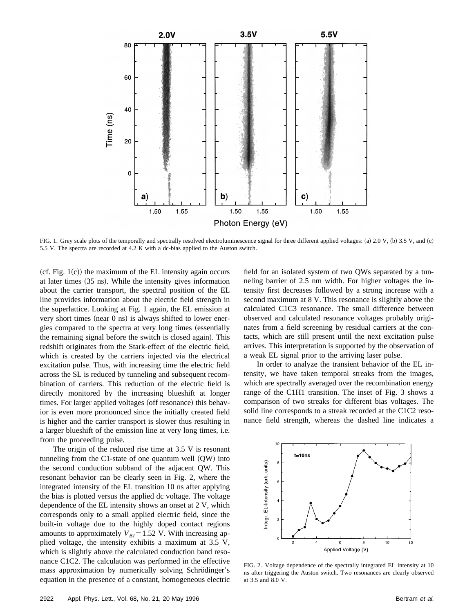

FIG. 1. Grey scale plots of the temporally and spectrally resolved electroluminescence signal for three different applied voltages: (a)  $2.0 V$ , (b)  $3.5 V$ , and (c) 5.5 V. The spectra are recorded at 4.2 K with a dc-bias applied to the Auston switch.

 $(cf. Fig. 1(c))$  the maximum of the EL intensity again occurs at later times  $(35 \text{ ns})$ . While the intensity gives information about the carrier transport, the spectral position of the EL line provides information about the electric field strength in the superlattice. Looking at Fig. 1 again, the EL emission at very short times (near  $0$  ns) is always shifted to lower energies compared to the spectra at very long times (essentially the remaining signal before the switch is closed again). This redshift originates from the Stark-effect of the electric field, which is created by the carriers injected via the electrical excitation pulse. Thus, with increasing time the electric field across the SL is reduced by tunneling and subsequent recombination of carriers. This reduction of the electric field is directly monitored by the increasing blueshift at longer times. For larger applied voltages (off resonance) this behavior is even more pronounced since the initially created field is higher and the carrier transport is slower thus resulting in a larger blueshift of the emission line at very long times, i.e. from the proceeding pulse.

The origin of the reduced rise time at 3.5 V is resonant tunneling from the C1-state of one quantum well  $(QW)$  into the second conduction subband of the adjacent QW. This resonant behavior can be clearly seen in Fig. 2, where the integrated intensity of the EL transition 10 ns after applying the bias is plotted versus the applied dc voltage. The voltage dependence of the EL intensity shows an onset at 2 V, which corresponds only to a small applied electric field, since the built-in voltage due to the highly doped contact regions amounts to approximately  $V_{BI} = 1.52$  V. With increasing applied voltage, the intensity exhibits a maximum at 3.5 V, which is slightly above the calculated conduction band resonance C1C2. The calculation was performed in the effective mass approximation by numerically solving Schrödinger's equation in the presence of a constant, homogeneous electric field for an isolated system of two QWs separated by a tunneling barrier of 2.5 nm width. For higher voltages the intensity first decreases followed by a strong increase with a second maximum at 8 V. This resonance is slightly above the calculated C1C3 resonance. The small difference between observed and calculated resonance voltages probably originates from a field screening by residual carriers at the contacts, which are still present until the next excitation pulse arrives. This interpretation is supported by the observation of a weak EL signal prior to the arriving laser pulse.

In order to analyze the transient behavior of the EL intensity, we have taken temporal streaks from the images, which are spectrally averaged over the recombination energy range of the C1H1 transition. The inset of Fig. 3 shows a comparison of two streaks for different bias voltages. The solid line corresponds to a streak recorded at the C1C2 resonance field strength, whereas the dashed line indicates a



FIG. 2. Voltage dependence of the spectrally integrated EL intensity at 10 ns after triggering the Auston switch. Two resonances are clearly observed at 3.5 and 8.0 V.